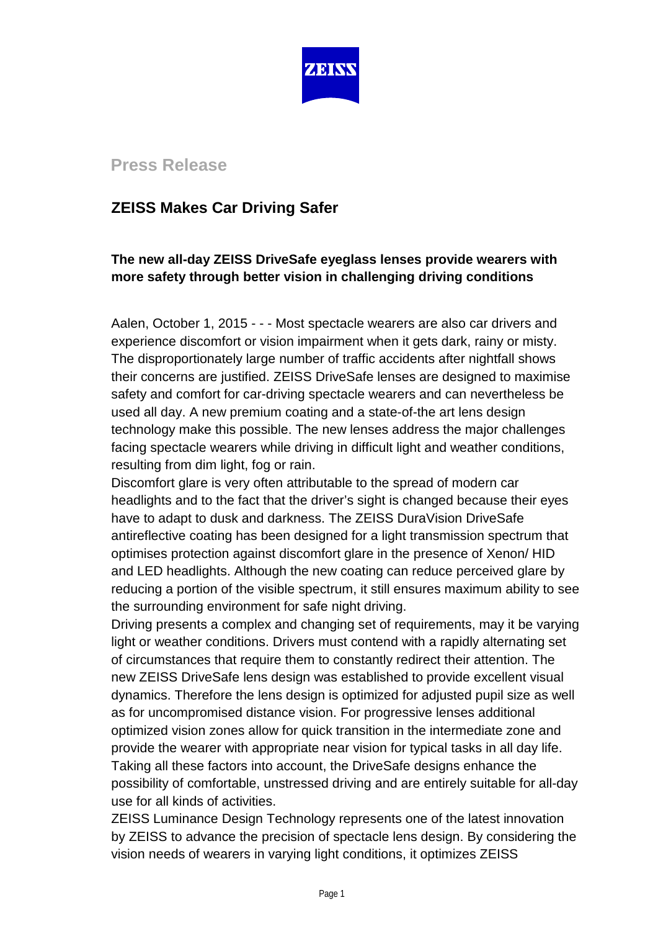

## **Press Release**

# **ZEISS Makes Car Driving Safer**

## **The new all-day ZEISS DriveSafe eyeglass lenses provide wearers with more safety through better vision in challenging driving conditions**

Aalen, October 1, 2015 - - - Most spectacle wearers are also car drivers and experience discomfort or vision impairment when it gets dark, rainy or misty. The disproportionately large number of traffic accidents after nightfall shows their concerns are justified. ZEISS DriveSafe lenses are designed to maximise safety and comfort for car-driving spectacle wearers and can nevertheless be used all day. A new premium coating and a state-of-the art lens design technology make this possible. The new lenses address the major challenges facing spectacle wearers while driving in difficult light and weather conditions, resulting from dim light, fog or rain.

Discomfort glare is very often attributable to the spread of modern car headlights and to the fact that the driver's sight is changed because their eyes have to adapt to dusk and darkness. The ZEISS DuraVision DriveSafe antireflective coating has been designed for a light transmission spectrum that optimises protection against discomfort glare in the presence of Xenon/ HID and LED headlights. Although the new coating can reduce perceived glare by reducing a portion of the visible spectrum, it still ensures maximum ability to see the surrounding environment for safe night driving.

Driving presents a complex and changing set of requirements, may it be varying light or weather conditions. Drivers must contend with a rapidly alternating set of circumstances that require them to constantly redirect their attention. The new ZEISS DriveSafe lens design was established to provide excellent visual dynamics. Therefore the lens design is optimized for adjusted pupil size as well as for uncompromised distance vision. For progressive lenses additional optimized vision zones allow for quick transition in the intermediate zone and provide the wearer with appropriate near vision for typical tasks in all day life. Taking all these factors into account, the DriveSafe designs enhance the possibility of comfortable, unstressed driving and are entirely suitable for all-day use for all kinds of activities.

ZEISS Luminance Design Technology represents one of the latest innovation by ZEISS to advance the precision of spectacle lens design. By considering the vision needs of wearers in varying light conditions, it optimizes ZEISS